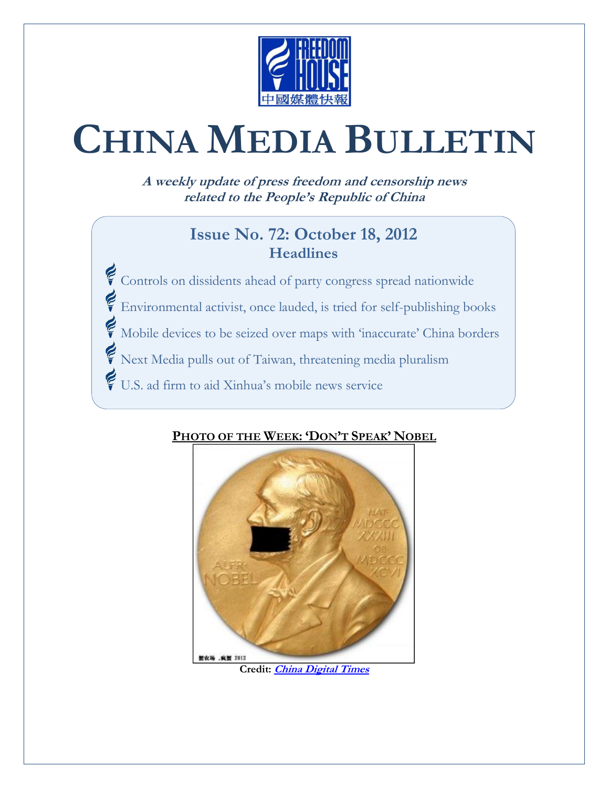

# **CHINA MEDIA BULLETIN**

**A weekly update of press freedom and censorship news related to the People's Republic of China**

#### **Issue No. 72: October 18, 2012 Headlines**

Controls on dissidents ahead of party congress spread nationwide Environmental activist, once lauded, is tried for self-publishing books Mobile devices to be seized over maps with 'inaccurate' China borders Next Media pulls out of Taiwan, threatening media pluralism U.S. ad firm to aid Xinhua's mobile news service

#### **PHOTO OF THE WEEK: 'DON'T SPEAK' NOBEL**



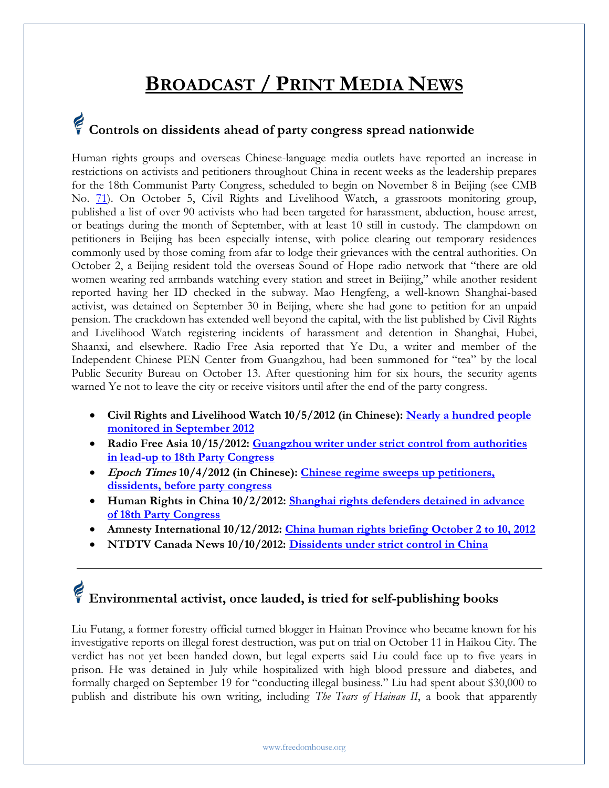### **BROADCAST / PRINT MEDIA NEWS**

## **Controls on dissidents ahead of party congress spread nationwide**

Human rights groups and overseas Chinese-language media outlets have reported an increase in restrictions on activists and petitioners throughout China in recent weeks as the leadership prepares for the 18th Communist Party Congress, scheduled to begin on November 8 in Beijing (see CMB No. [71\)](http://www.freedomhouse.org/cmb/71_101112). On October 5, Civil Rights and Livelihood Watch, a grassroots monitoring group, published a list of over 90 activists who had been targeted for harassment, abduction, house arrest, or beatings during the month of September, with at least 10 still in custody. The clampdown on petitioners in Beijing has been especially intense, with police clearing out temporary residences commonly used by those coming from afar to lodge their grievances with the central authorities. On October 2, a Beijing resident told the overseas Sound of Hope radio network that "there are old women wearing red armbands watching every station and street in Beijing," while another resident reported having her ID checked in the subway. Mao Hengfeng, a well-known Shanghai-based activist, was detained on September 30 in Beijing, where she had gone to petition for an unpaid pension. The crackdown has extended well beyond the capital, with the list published by Civil Rights and Livelihood Watch registering incidents of harassment and detention in Shanghai, Hubei, Shaanxi, and elsewhere. Radio Free Asia reported that Ye Du, a writer and member of the Independent Chinese PEN Center from Guangzhou, had been summoned for "tea" by the local Public Security Bureau on October 13. After questioning him for six hours, the security agents warned Ye not to leave the city or receive visitors until after the end of the party congress.

- **Civil Rights and Livelihood Watch 10/5/2012 (in Chinese): [Nearly a hundred people](http://www.msguancha.com/Article/ShowArticle.asp?ArticleID=15887)  [monitored in September 2012](http://www.msguancha.com/Article/ShowArticle.asp?ArticleID=15887)**
- **Radio Free Asia 10/15/2012: [Guangzhou writer under strict control from authorities](http://www.rfa.org/mandarin/yataibaodao/ql2-10152012172958.html)  in [lead-up to 18th Party Congress](http://www.rfa.org/mandarin/yataibaodao/ql2-10152012172958.html)**
- **Epoch Times 10/4/2012 (in Chinese): [Chinese regime sweeps up petitioners,](http://www.theepochtimes.com/n2/china-news/chinese-regime-sweeps-up-petitioners-dissidents-before-party-congress-299620.html)  [dissidents, before party congress](http://www.theepochtimes.com/n2/china-news/chinese-regime-sweeps-up-petitioners-dissidents-before-party-congress-299620.html)**
- **Human Rights in China 10/2/2012: [Shanghai rights defenders detained in advance](http://www.hrichina.org/content/6318%20*%20http:/www.youtube.com/watch?v=vAMMBtNwtRI)  [of 18th Party Congress](http://www.hrichina.org/content/6318%20*%20http:/www.youtube.com/watch?v=vAMMBtNwtRI)**
- **Amnesty International 10/12/2012: [China human rights briefing October 2 to 10, 2012](http://www2.amnesty.org.uk/blogs/countdown-china/china-human-rights-briefing-october-2-10-2012)**
- **NTDTV Canada News 10/10/2012: [Dissidents under strict control in China](http://www.youtube.com/watch?v=vAMMBtNwtRI)**

### **Environmental activist, once lauded, is tried for self-publishing books**

Liu Futang, a former forestry official turned blogger in Hainan Province who became known for his investigative reports on illegal forest destruction, was put on trial on October 11 in Haikou City. The verdict has not yet been handed down, but legal experts said Liu could face up to five years in prison. He was detained in July while hospitalized with high blood pressure and diabetes, and formally charged on September 19 for "conducting illegal business." Liu had spent about \$30,000 to publish and distribute his own writing, including *The Tears of Hainan II*, a book that apparently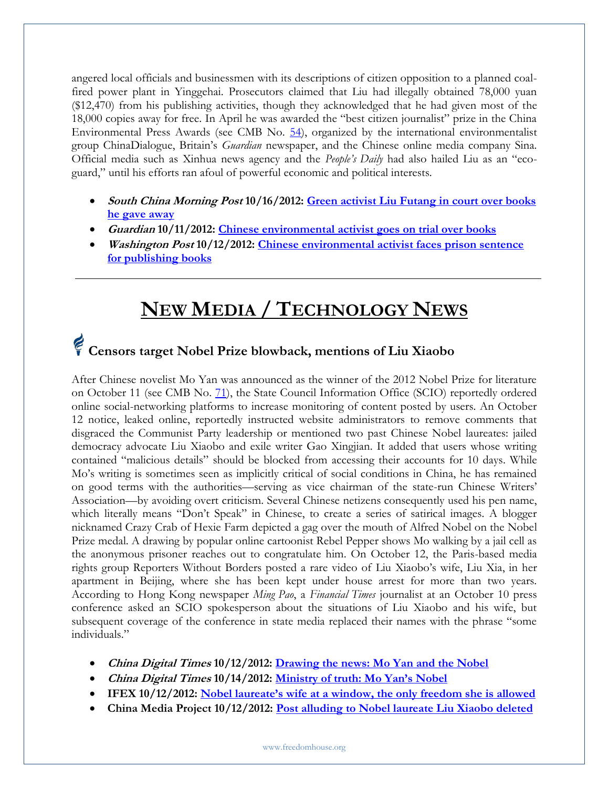angered local officials and businessmen with its descriptions of citizen opposition to a planned coalfired power plant in Yinggehai. Prosecutors claimed that Liu had illegally obtained 78,000 yuan (\$12,470) from his publishing activities, though they acknowledged that he had given most of the 18,000 copies away for free. In April he was awarded the "best citizen journalist" prize in the China Environmental Press Awards (see CMB No. [54\)](http://www.freedomhouse.org/article/china-media-bulletin-issue-no-54), organized by the international environmentalist group ChinaDialogue, Britain's *Guardian* newspaper, and the Chinese online media company Sina. Official media such as Xinhua news agency and the *People's Daily* had also hailed Liu as an "ecoguard," until his efforts ran afoul of powerful economic and political interests.

- **South China Morning Post 10/16/2012: [Green activist Liu Futang in court over books](http://www.scmp.com/news/china/article/1059004/green-activist-liu-futang-court-over-books-he-gave-away)  [he gave away](http://www.scmp.com/news/china/article/1059004/green-activist-liu-futang-court-over-books-he-gave-away)**
- **Guardian 10/11/2012: [Chinese environmental activist goes on trial over books](http://www.guardian.co.uk/world/2012/oct/11/chinese-activist-trial-books)**
- **Washington Post 10/12/2012: [Chinese environmental activist faces prison sentence](http://www.washingtonpost.com/world/chinese-environmental-activist-faces-prison-sentence-for-publishing-books/2012/10/12/86e56f90-145a-11e2-9a39-1f5a7f6fe945_story.html)  [for publishing books](http://www.washingtonpost.com/world/chinese-environmental-activist-faces-prison-sentence-for-publishing-books/2012/10/12/86e56f90-145a-11e2-9a39-1f5a7f6fe945_story.html)**

### **NEW MEDIA / TECHNOLOGY NEWS**

### **Censors target Nobel Prize blowback, mentions of Liu Xiaobo**

After Chinese novelist Mo Yan was announced as the winner of the 2012 Nobel Prize for literature on October 11 (see CMB No. [71\)](http://www.freedomhouse.org/cmb/71_101112#1), the State Council Information Office (SCIO) reportedly ordered online social-networking platforms to increase monitoring of content posted by users. An October 12 notice, leaked online, reportedly instructed website administrators to remove comments that disgraced the Communist Party leadership or mentioned two past Chinese Nobel laureates: jailed democracy advocate Liu Xiaobo and exile writer Gao Xingjian. It added that users whose writing contained "malicious details" should be blocked from accessing their accounts for 10 days. While Mo's writing is sometimes seen as implicitly critical of social conditions in China, he has remained on good terms with the authorities—serving as vice chairman of the state-run Chinese Writers' Association—by avoiding overt criticism. Several Chinese netizens consequently used his pen name, which literally means "Don't Speak" in Chinese, to create a series of satirical images. A blogger nicknamed Crazy Crab of Hexie Farm depicted a gag over the mouth of Alfred Nobel on the Nobel Prize medal. A drawing by popular online cartoonist Rebel Pepper shows Mo walking by a jail cell as the anonymous prisoner reaches out to congratulate him. On October 12, the Paris-based media rights group Reporters Without Borders posted a rare video of Liu Xiaobo's wife, Liu Xia, in her apartment in Beijing, where she has been kept under house arrest for more than two years. According to Hong Kong newspaper *Ming Pao*, a *Financial Times* journalist at an October 10 press conference asked an SCIO spokesperson about the situations of Liu Xiaobo and his wife, but subsequent coverage of the conference in state media replaced their names with the phrase "some individuals."

- **China Digital Times 10/12/2012: [Drawing the news: Mo Yan and the Nobel](http://chinadigitaltimes.net/2012/10/drawing-the-news-mo-yan-and-the-nobel/)**
- **China Digital Times 10/14/2012: [Ministry of truth: Mo Yan's Nobel](http://chinadigitaltimes.net/2012/10/ministry-of-truth-mo-yans-nobel/)**
- **IFEX 10/12/2012: [Nobel laureate's wife at a window, the only freedom she is allowed](http://en.rsf.org/chine-nobel-laureate-s-wife-at-a-window-12-10-2012,43530.html)**
- **China Media Project 10/12/2012: [Post alluding to Nobel laureate Liu Xiaobo deleted](http://cmp.hku.hk/2012/10/12/27883/)**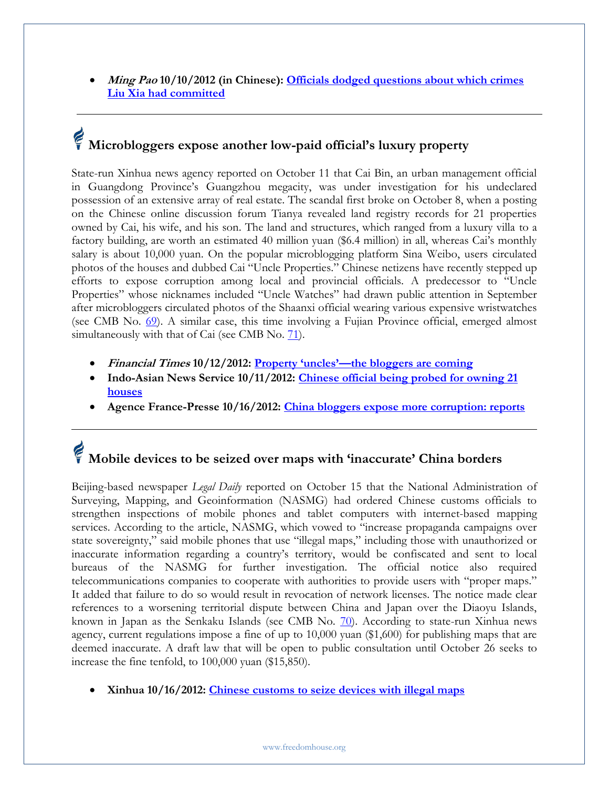**Ming Pao 10/10/2012 (in Chinese): [Officials dodged questions about which crimes](http://news.sina.com.hk/news/9/1/1/2794816/1.html)  [Liu Xia had committed](http://news.sina.com.hk/news/9/1/1/2794816/1.html)**

# **Microbloggers expose another low-paid official's luxury property**

State-run Xinhua news agency reported on October 11 that Cai Bin, an urban management official in Guangdong Province's Guangzhou megacity, was under investigation for his undeclared possession of an extensive array of real estate. The scandal first broke on October 8, when a posting on the Chinese online discussion forum Tianya revealed land registry records for 21 properties owned by Cai, his wife, and his son. The land and structures, which ranged from a luxury villa to a factory building, are worth an estimated 40 million yuan (\$6.4 million) in all, whereas Cai's monthly salary is about 10,000 yuan. On the popular microblogging platform Sina Weibo, users circulated photos of the houses and dubbed Cai "Uncle Properties." Chinese netizens have recently stepped up efforts to expose corruption among local and provincial officials. A predecessor to "Uncle Properties" whose nicknames included "Uncle Watches" had drawn public attention in September after microbloggers circulated photos of the Shaanxi official wearing various expensive wristwatches (see CMB No. [69\)](http://www.freedomhouse.org/cmb/69_092712#6). A similar case, this time involving a Fujian Province official, emerged almost simultaneously with that of Cai (see CMB No. [71\)](http://www.freedomhouse.org/cmb/71_101112).

- **Financial Times 10/12/2012: Property 'uncles'—[the bloggers are coming](http://blogs.ft.com/beyond-brics/2012/10/12/chinese-property-uncles-the-bloggers-are-coming/)**
- **Indo-Asian News Service 10/11/2012: [Chinese official being probed for owning 21](http://news.in.msn.com/international/article.aspx?cp-documentid=251023720)  [houses](http://news.in.msn.com/international/article.aspx?cp-documentid=251023720)**
- **Agence France-Presse 10/16/2012: [China bloggers expose more corruption: reports](http://www.google.com/hostednews/afp/article/ALeqM5iEzDtF4ZAyDp4JGhP-gj0B_mnOOw?docId=CNG.fdb69c376f485119b0a4b87bb23e3b22.531)**

### **Mobile devices to be seized over maps with 'inaccurate' China borders**

Beijing-based newspaper *Legal Daily* reported on October 15 that the National Administration of Surveying, Mapping, and Geoinformation (NASMG) had ordered Chinese customs officials to strengthen inspections of mobile phones and tablet computers with internet-based mapping services. According to the article, NASMG, which vowed to "increase propaganda campaigns over state sovereignty," said mobile phones that use "illegal maps," including those with unauthorized or inaccurate information regarding a country's territory, would be confiscated and sent to local bureaus of the NASMG for further investigation. The official notice also required telecommunications companies to cooperate with authorities to provide users with "proper maps." It added that failure to do so would result in revocation of network licenses. The notice made clear references to a worsening territorial dispute between China and Japan over the Diaoyu Islands, known in Japan as the Senkaku Islands (see CMB No. [70\)](http://www.freedomhouse.org/cmb/70_100412#4). According to state-run Xinhua news agency, current regulations impose a fine of up to 10,000 yuan (\$1,600) for publishing maps that are deemed inaccurate. A draft law that will be open to public consultation until October 26 seeks to increase the fine tenfold, to 100,000 yuan (\$15,850).

**Xinhua 10/16/2012: [Chinese customs to seize devices with illegal maps](http://news.xinhuanet.com/english/china/2012-10/16/c_131910411.htm)**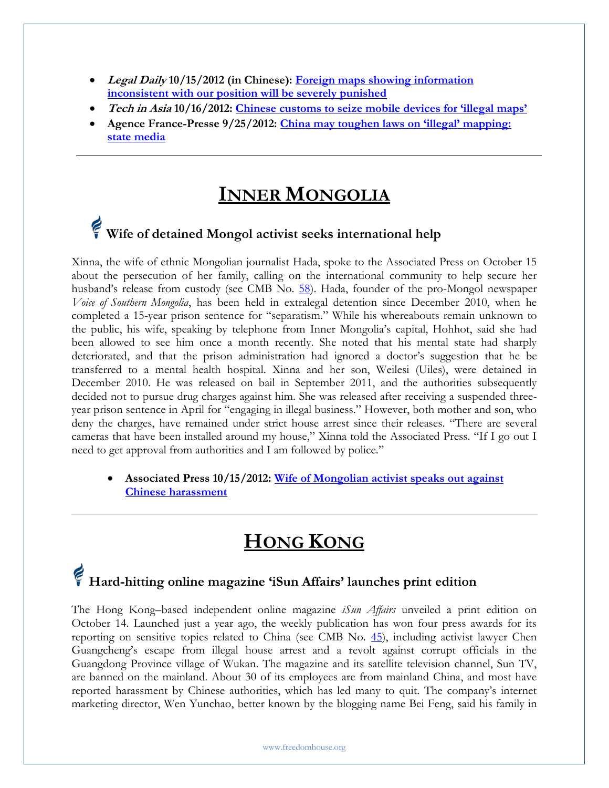- **Legal Daily 10/15/2012 (in Chinese): [Foreign maps showing information](http://www.legaldaily.com.cn/index_article/content/2012-10/15/content_3902946.htm?node=5955)  [inconsistent with our position will be severely punished](http://www.legaldaily.com.cn/index_article/content/2012-10/15/content_3902946.htm?node=5955)**
- **Tech in Asia 10/16/2012: [Chinese customs to seize mobile devices for 'illegal maps'](http://www.techinasia.com/chinese-customs-sieze-mobile-devices-illegal-maps/)**
- Agence France-Presse 9/25/2012: China may toughen laws on 'illegal' mapping: **[state media](http://www.france24.com/en/20120925-china-may-toughen-laws-illegal-mapping-state-media)**

#### **INNER MONGOLIA**

### **Wife of detained Mongol activist seeks international help**

Xinna, the wife of ethnic Mongolian journalist Hada, spoke to the Associated Press on October 15 about the persecution of her family, calling on the international community to help secure her husband's release from custody (see CMB No. [58\)](http://www.freedomhouse.org/article/china-media-bulletin-issue-no-58). Hada, founder of the pro-Mongol newspaper *Voice of Southern Mongolia*, has been held in extralegal detention since December 2010, when he completed a 15-year prison sentence for "separatism." While his whereabouts remain unknown to the public, his wife, speaking by telephone from Inner Mongolia's capital, Hohhot, said she had been allowed to see him once a month recently. She noted that his mental state had sharply deteriorated, and that the prison administration had ignored a doctor's suggestion that he be transferred to a mental health hospital. Xinna and her son, Weilesi (Uiles), were detained in December 2010. He was released on bail in September 2011, and the authorities subsequently decided not to pursue drug charges against him. She was released after receiving a suspended threeyear prison sentence in April for "engaging in illegal business." However, both mother and son, who deny the charges, have remained under strict house arrest since their releases. "There are several cameras that have been installed around my house," Xinna told the Associated Press. "If I go out I need to get approval from authorities and I am followed by police."

 **Associated Press 10/15/2012: [Wife of Mongolian activist speaks out against](http://www.guardian.co.uk/world/2012/oct/15/wife-mongolian-activist-china)  [Chinese harassment](http://www.guardian.co.uk/world/2012/oct/15/wife-mongolian-activist-china)**

#### **HONG KONG**

#### **Hard-hitting online magazine 'iSun Affairs' launches print edition**

The Hong Kong–based independent online magazine *iSun Affairs* unveiled a print edition on October 14. Launched just a year ago, the weekly publication has won four press awards for its reporting on sensitive topics related to China (see CMB No. [45\)](http://www.freedomhouse.org/article/china-media-bulletin-issue-no-45), including activist lawyer Chen Guangcheng's escape from illegal house arrest and a revolt against corrupt officials in the Guangdong Province village of Wukan. The magazine and its satellite television channel, Sun TV, are banned on the mainland. About 30 of its employees are from mainland China, and most have reported harassment by Chinese authorities, which has led many to quit. The company's internet marketing director, Wen Yunchao, better known by the blogging name Bei Feng, said his family in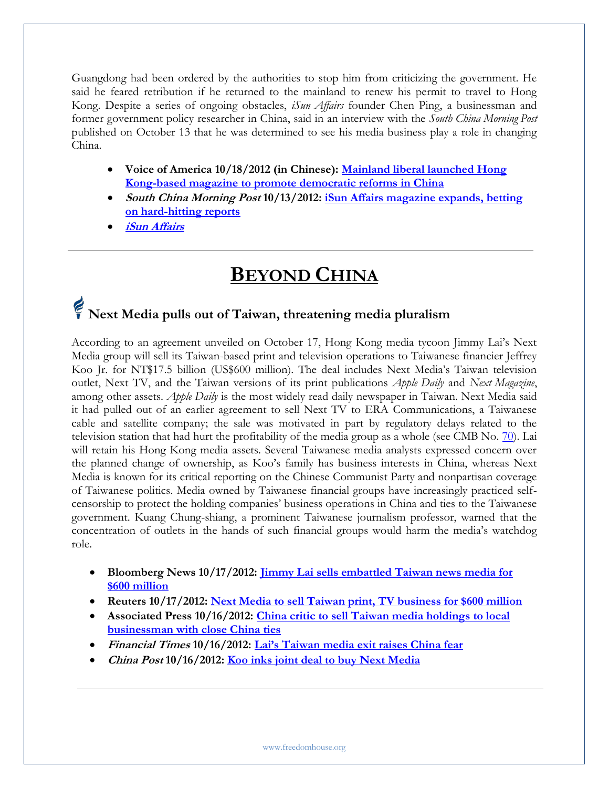Guangdong had been ordered by the authorities to stop him from criticizing the government. He said he feared retribution if he returned to the mainland to renew his permit to travel to Hong Kong. Despite a series of ongoing obstacles, *iSun Affairs* founder Chen Ping, a businessman and former government policy researcher in China, said in an interview with the *South China Morning Post* published on October 13 that he was determined to see his media business play a role in changing China.

- **Voice of America 10/18/2012 (in Chinese): [Mainland liberal launched Hong](http://www.voachinese.com/content/new-magazine-20121015/1526569.html)  [Kong-based magazine to promote democratic reforms in China](http://www.voachinese.com/content/new-magazine-20121015/1526569.html)**
- **South China Morning Post 10/13/2012: [iSun Affairs magazine expands, betting](http://www.scmp.com/news/china/article/1059832/isun-affairs-magazine-expands-betting-hard-hitting-reports)  [on hard-hitting reports](http://www.scmp.com/news/china/article/1059832/isun-affairs-magazine-expands-betting-hard-hitting-reports)**
- **[iSun Affairs](http://www.isunaffairs.com/)**

### **BEYOND CHINA**

## **Next Media pulls out of Taiwan, threatening media pluralism**

According to an agreement unveiled on October 17, Hong Kong media tycoon Jimmy Lai's Next Media group will sell its Taiwan-based print and television operations to Taiwanese financier Jeffrey Koo Jr. for NT\$17.5 billion (US\$600 million). The deal includes Next Media's Taiwan television outlet, Next TV, and the Taiwan versions of its print publications *Apple Daily* and *Next Magazine*, among other assets. *Apple Daily* is the most widely read daily newspaper in Taiwan. Next Media said it had pulled out of an earlier agreement to sell Next TV to ERA Communications, a Taiwanese cable and satellite company; the sale was motivated in part by regulatory delays related to the television station that had hurt the profitability of the media group as a whole (see CMB No. [70\)](http://www.freedomhouse.org/cmb/70_100412#3). Lai will retain his Hong Kong media assets. Several Taiwanese media analysts expressed concern over the planned change of ownership, as Koo's family has business interests in China, whereas Next Media is known for its critical reporting on the Chinese Communist Party and nonpartisan coverage of Taiwanese politics. Media owned by Taiwanese financial groups have increasingly practiced selfcensorship to protect the holding companies' business operations in China and ties to the Taiwanese government. Kuang Chung-shiang, a prominent Taiwanese journalism professor, warned that the concentration of outlets in the hands of such financial groups would harm the media's watchdog role.

- **Bloomberg News 10/17/2012: [Jimmy Lai sells embattled Taiwan news media for](http://www.businessweek.com/news/2012-10-17/next-media-to-sell-taiwan-print-tv-businesses-for-600-million)  [\\$600 million](http://www.businessweek.com/news/2012-10-17/next-media-to-sell-taiwan-print-tv-businesses-for-600-million)**
- **Reuters 10/17/2012: [Next Media to sell Taiwan print, TV business for \\$600 million](http://www.reuters.com/article/2012/10/17/us-nextmedia-taiwan-idUSBRE89G0GC20121017)**
- **Associated Press 10/16/2012: [China critic to sell Taiwan media holdings to local](http://www.washingtonpost.com/business/china-critic-to-sell-taiwan-media-holdings-to-local-businessman-with-close-china-ties/2012/10/16/746de2b8-1764-11e2-a346-f24efc680b8d_story.html)  [businessman with close China ties](http://www.washingtonpost.com/business/china-critic-to-sell-taiwan-media-holdings-to-local-businessman-with-close-china-ties/2012/10/16/746de2b8-1764-11e2-a346-f24efc680b8d_story.html)**
- **Financial Times 10/16/2012: [Lai's Taiwan media exit raises China fear](http://www.ft.com/intl/cms/s/0/adc12e02-177e-11e2-8ebe-00144feabdc0.html#axzz29U1Gga7I)**
- **China Post 10/16/2012: [Koo inks joint deal to buy Next Media](http://www.chinapost.com.tw/taiwan/national/national-news/2012/10/16/357803/Koo-inks.htm)**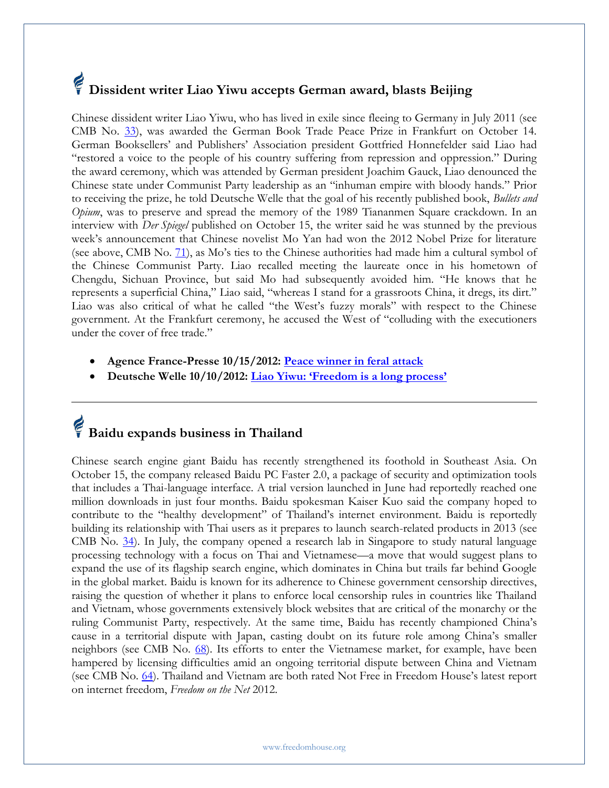## **Dissident writer Liao Yiwu accepts German award, blasts Beijing**

Chinese dissident writer Liao Yiwu, who has lived in exile since fleeing to Germany in July 2011 (see CMB No. [33\)](http://www.freedomhouse.org/article/china-media-bulletin-issue-no-33), was awarded the German Book Trade Peace Prize in Frankfurt on October 14. German Booksellers' and Publishers' Association president Gottfried Honnefelder said Liao had "restored a voice to the people of his country suffering from repression and oppression." During the award ceremony, which was attended by German president Joachim Gauck, Liao denounced the Chinese state under Communist Party leadership as an "inhuman empire with bloody hands." Prior to receiving the prize, he told Deutsche Welle that the goal of his recently published book, *Bullets and Opium*, was to preserve and spread the memory of the 1989 Tiananmen Square crackdown. In an interview with *Der Spiegel* published on October 15, the writer said he was stunned by the previous week's announcement that Chinese novelist Mo Yan had won the 2012 Nobel Prize for literature (see above, CMB No.  $71$ ), as Mo's ties to the Chinese authorities had made him a cultural symbol of the Chinese Communist Party. Liao recalled meeting the laureate once in his hometown of Chengdu, Sichuan Province, but said Mo had subsequently avoided him. "He knows that he represents a superficial China," Liao said, "whereas I stand for a grassroots China, it dregs, its dirt." Liao was also critical of what he called "the West's fuzzy morals" with respect to the Chinese government. At the Frankfurt ceremony, he accused the West of "colluding with the executioners under the cover of free trade."

- **Agence France-Presse 10/15/2012: [Peace winner in feral attack](http://www.thestandard.com.hk/news_detail.asp?pp_cat=17&art_id=127315&sid=37911441&con_type=1)**
- **Deutsche Welle 10/10/2012: [Liao Yiwu: 'Freedom is a long process'](http://www.dw.de/liao-yiwu-freedom-is-a-long-process/a-16295892-1)**

### **Baidu expands business in Thailand**

Chinese search engine giant Baidu has recently strengthened its foothold in Southeast Asia. On October 15, the company released Baidu PC Faster 2.0, a package of security and optimization tools that includes a Thai-language interface. A trial version launched in June had reportedly reached one million downloads in just four months. Baidu spokesman Kaiser Kuo said the company hoped to contribute to the "healthy development" of Thailand's internet environment. Baidu is reportedly building its relationship with Thai users as it prepares to launch search-related products in 2013 (see CMB No.  $34$ ). In July, the company opened a research lab in Singapore to study natural language processing technology with a focus on Thai and Vietnamese—a move that would suggest plans to expand the use of its flagship search engine, which dominates in China but trails far behind Google in the global market. Baidu is known for its adherence to Chinese government censorship directives, raising the question of whether it plans to enforce local censorship rules in countries like Thailand and Vietnam, whose governments extensively block websites that are critical of the monarchy or the ruling Communist Party, respectively. At the same time, Baidu has recently championed China's cause in a territorial dispute with Japan, casting doubt on its future role among China's smaller neighbors (see CMB No. [68\)](http://www.freedomhouse.org/cmb/68_092012#6). Its efforts to enter the Vietnamese market, for example, have been hampered by licensing difficulties amid an ongoing territorial dispute between China and Vietnam (see CMB No. [64\)](http://www.freedomhouse.org/article/china-media-bulletin-issue-no-64). Thailand and Vietnam are both rated Not Free in Freedom House's latest report on internet freedom, *Freedom on the Net* 2012.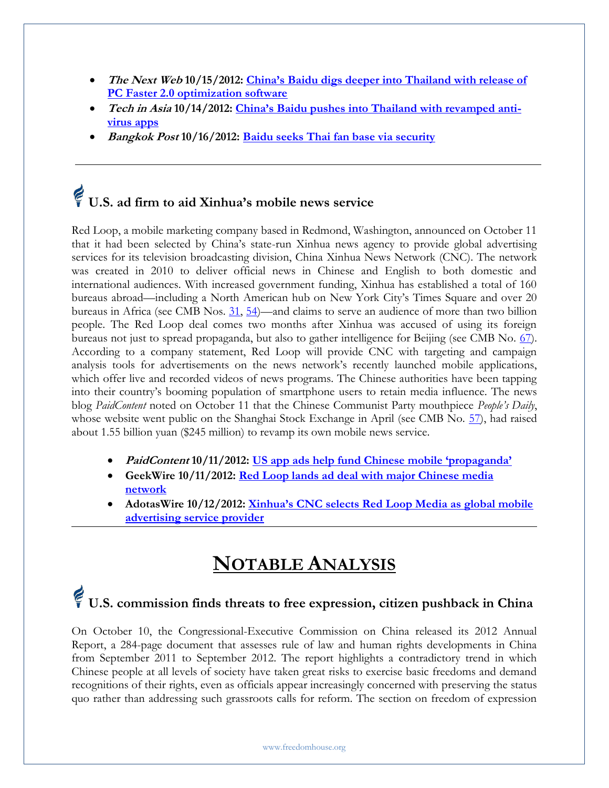- **The Next Web 10/15/2012: [China's Baidu digs deeper into Thailand with release of](http://thenextweb.com/asia/2012/10/15/chinas-baidu-digs-deeper-into-thailand-with-release-of-pc-faster-2-0-optimization-software/)  [PC Faster 2.0 optimization software](http://thenextweb.com/asia/2012/10/15/chinas-baidu-digs-deeper-into-thailand-with-release-of-pc-faster-2-0-optimization-software/)**
- Tech in Asia 10/14/2012: [China's Baidu pushes into Thailand with](http://www.techinasia.com/baidu-thailand-antivirus-apps/) revamped anti**[virus apps](http://www.techinasia.com/baidu-thailand-antivirus-apps/)**
- **Bangkok Post 10/16/2012: [Baidu seeks Thai fan base via security](http://www.bangkokpost.com/business/economics/317188/baidu-seeks-thai-fan-base-via-security)**

### **U.S. ad firm to aid Xinhua's mobile news service**

Red Loop, a mobile marketing company based in Redmond, Washington, announced on October 11 that it had been selected by China's state-run Xinhua news agency to provide global advertising services for its television broadcasting division, China Xinhua News Network (CNC). The network was created in 2010 to deliver official news in Chinese and English to both domestic and international audiences. With increased government funding, Xinhua has established a total of 160 bureaus abroad—including a North American hub on New York City's Times Square and over 20 bureaus in Africa (see CMB Nos. [31,](http://www.freedomhouse.org/article/china-media-bulletin-issue-no-31#5) [54\)](http://www.freedomhouse.org/article/china-media-bulletin-issue-no-54#Activist%20warns)—and claims to serve an audience of more than two billion people. The Red Loop deal comes two months after Xinhua was accused of using its foreign bureaus not just to spread propaganda, but also to gather intelligence for Beijing (see CMB No. [67\)](http://www.freedomhouse.org/cmb/67_091312). According to a company statement, Red Loop will provide CNC with targeting and campaign analysis tools for advertisements on the news network's recently launched mobile applications, which offer live and recorded videos of news programs. The Chinese authorities have been tapping into their country's booming population of smartphone users to retain media influence. The news blog *PaidContent* noted on October 11 that the Chinese Communist Party mouthpiece *People's Daily*, whose website went public on the Shanghai Stock Exchange in April (see CMB No. [57\)](http://www.freedomhouse.org/article/china-media-bulletin-issue-no-57#4), had raised about 1.55 billion yuan (\$245 million) to revamp its own mobile news service.

- **PaidContent 10/11/2012: U[S app ads help fund Chinese mobile 'propaganda'](http://paidcontent.org/2012/10/11/us-app-ads-help-fund-chinese-mobile-propaganda/)**
- **GeekWire 10/11/2012: [Red Loop lands ad deal with major Chinese media](http://www.geekwire.com/2012/red-loop-lands-advertising-deal-major-chinese-media-network/)  [network](http://www.geekwire.com/2012/red-loop-lands-advertising-deal-major-chinese-media-network/)**
- **AdotasWire 10/12/2012: [Xinhua's CNC selects Red Loop Media as global mobile](http://www.digitalmarketingsuite.com/article/6822/Xinhuas-CNC-Selects-Red-Loop-Media-as-Global-Mobile-Advertising-Service-Provider)  [advertising service provider](http://www.digitalmarketingsuite.com/article/6822/Xinhuas-CNC-Selects-Red-Loop-Media-as-Global-Mobile-Advertising-Service-Provider)**

#### **NOTABLE ANALYSIS**

#### **U.S. commission finds threats to free expression, citizen pushback in China**

On October 10, the Congressional-Executive Commission on China released its 2012 Annual Report, a 284-page document that assesses rule of law and human rights developments in China from September 2011 to September 2012. The report highlights a contradictory trend in which Chinese people at all levels of society have taken great risks to exercise basic freedoms and demand recognitions of their rights, even as officials appear increasingly concerned with preserving the status quo rather than addressing such grassroots calls for reform. The section on freedom of expression